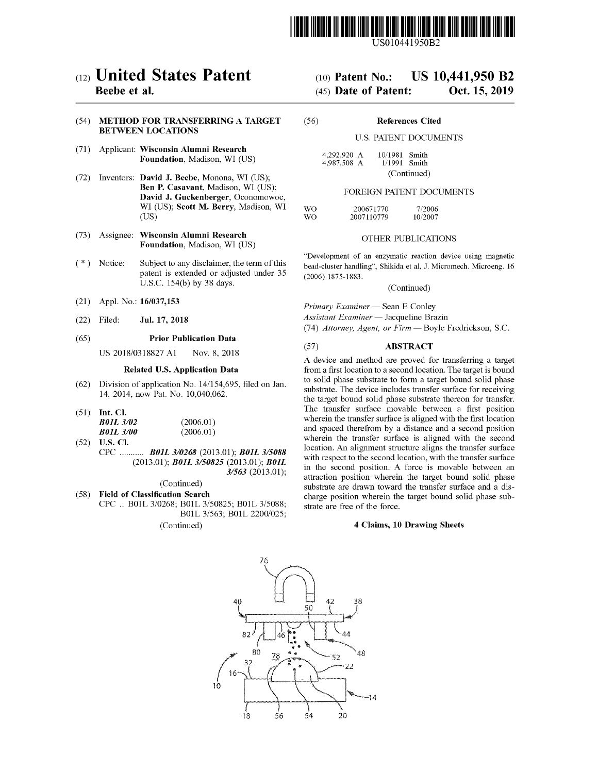

US010441950B2

# c12) **United States Patent**

# **Beebe et al.**

### (54) **METHOD FOR TRANSFERRING A TARGET BETWEEN LOCATIONS**

- (71) Applicant: **Wisconsin Alumni Research Foundation,** Madison, WI (US)
- (72) Inventors: **David J. Beebe,** Monona, WI (US); **Ben P. Casavant,** Madison, WI (US); **David J. Guckenberger,** Oconomowoc, WI (US); **Scott M. Berry,** Madison, WI (US)
- (73) Assignee: **Wisconsin Alumni Research Foundation,** Madison, WI (US)
- $(*)$  Notice: Subject to any disclaimer, the term of this patent is extended or adjusted under 35 U.S.C. 154(b) by 38 days.
- (21) Appl. No.: **16/037,153**
- (22) Filed: **Jul. 17, 2018**

#### (65) **Prior Publication Data**

US 2018/0318827 Al Nov. 8, 2018

# **Related U.S. Application Data**

- (62) Division of application No. 14/154,695, filed on Jan. 14, 2014, now Pat. No. 10,040,062.
- (51) **Int. Cl.**

| <b>B01L 3/02</b> | (2006.01) |
|------------------|-----------|
| <b>B01L 3/00</b> | (2006.01) |

(52) **U.S. Cl.**  CPC ........... *BOIL 310268* (2013.01); *BOIL 3/5088*  (2013.01); *BOIL 3/50825* (2013.01); *BOIL 3/563* (2013.01);

(Continued)

(58) **Field of Classification Search**  CPC .. BOIL 3/0268; BOIL 3/50825; BOIL 3/5088; BOIL 3/563; BOIL 2200/025; (Continued)

# (IO) **Patent No.: US 10,441,950 B2**

# (45) **Date of Patent: Oct. 15, 2019**

(56) **References Cited** 

# U.S. PATENT DOCUMENTS

| 4.292.920 A | 10/1981 Smith  |  |
|-------------|----------------|--|
| 4.987,508 A | $1/1991$ Smith |  |
|             | (Continued)    |  |

#### FOREIGN PATENT DOCUMENTS

| WO. | 200671770  | 7/2006  |
|-----|------------|---------|
| WO. | 2007110779 | 10/2007 |

# OTHER PUBLICATIONS

"Development of an enzymatic reaction device using magnetic bead-cluster handling", Shikida et al, J. Micromech. Microeng. 16 (2006) 1875-1883.

(Continued)

*Primary Examiner* - Sean E Conley *Assistant Examiner* - Jacqueline Brazin (74) *Attorney, Agent, or Firm* - Boyle Fredrickson, S.C.

# (57) **ABSTRACT**

A device and method are proved for transferring a target from a first location to a second location. The target is bound to solid phase substrate to form a target bound solid phase substrate. The device includes transfer surface for receiving the target bound solid phase substrate thereon for transfer. The transfer surface movable between a first position wherein the transfer surface is aligned with the first location and spaced therefrom by a distance and a second position wherein the transfer surface is aligned with the second location. An alignment structure aligns the transfer surface with respect to the second location, with the transfer surface in the second position. A force is movable between an attraction position wherein the target bound solid phase substrate are drawn toward the transfer surface and a discharge position wherein the target bound solid phase substrate are free of the force.

#### **4 Claims, 10 Drawing Sheets**

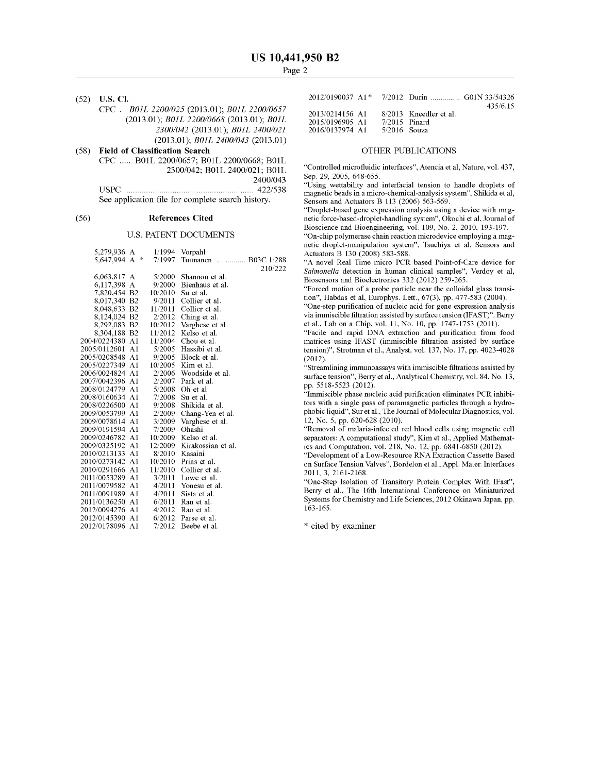(52) **U.S. Cl.**  CPC . *BOIL 2200/025* (2013.01); *BOIL 2200/0657*  (2013.01); *BOIL 2200/0668* (2013.01); *BOIL 2300/042* (2013.01); *BOIL 2400/021*  (2013.01); *BOIL 2400/043* (2013.01) ( 58) **Field of Classification Search**  CPC ..... BOIL 2200/0657; BOIL 2200/0668; BOIL 2300/042; BOIL 2400/021; BOIL 2400/043 USPC .......................................................... 422/538 See application file for complete search history.

#### (56) **References Cited**

#### U.S. PATENT DOCUMENTS

| 5,279,936 A     |        |         | $1/1994$ Vorpahl     |
|-----------------|--------|---------|----------------------|
| 5,647,994 A     | $\ast$ | 7/1997  | Tuunanen  B03C 1/288 |
|                 |        |         | 210/222              |
| 6,063,817 A     |        | 5/2000  | Shannon et al.       |
| 6.117,398 A     |        | 9/2000  | Bienhaus et al.      |
| 7,820,454 B2    |        | 10/2010 | Su et al.            |
| 8,017,340 B2    |        | 9/2011  | Collier et al.       |
| 8,048,633 B2    |        | 11/2011 | Collier et al.       |
| 8,124,024 B2    |        | 2/2012  | Ching et al.         |
| 8,292,083 B2    |        | 10/2012 | Varghese et al.      |
| 8,304,188 B2    |        | 11/2012 | Kelso et al.         |
| 2004/0224380 A1 |        | 11/2004 | Chou et al.          |
| 2005/0112601    | A1     | 5/2005  | Hassibi et al.       |
| 2005/0208548    | A1     | 9/2005  | Block et al.         |
| 2005/0227349 A1 |        | 10/2005 | Kim et al.           |
| 2006/0024824 A1 |        | 2/2006  | Woodside et al.      |
| 2007/0042396 A1 |        | 2/2007  | Park et al.          |
| 2008/0124779 A1 |        |         | $5/2008$ Oh et al.   |
| 2008/0160634 A1 |        | 7/2008  | Su et al.            |
| 2008/0226500 A1 |        | 9/2008  | Shikida et al.       |
| 2009/0053799 A1 |        | 2/2009  | Chang-Yen et al.     |
| 2009/0078614    | A1     | 3/2009  | Varghese et al.      |
| 2009/0191594    | A1     | 7/2009  | Ohashi               |
| 2009/0246782 A1 |        | 10/2009 | Kelso et al.         |
| 2009/0325192    | A1     | 12/2009 | Kirakossian et al.   |
| 2010/0213133 A1 |        | 8/2010  | Kasaini              |
| 2010/0273142 A1 |        | 10/2010 | Prins et al.         |
| 2010/0291666 A1 |        | 11/2010 | Collier et al.       |
| 2011/0053289 A1 |        | 3/2011  | Lowe et al.          |
| 2011/0079582    | Al     | 4/2011  | Yonesu et al.        |
| 2011/0091989    | A1     | 4/2011  | Sista et al.         |
| 2011/0136250 A1 |        | 6/2011  | Ran et al.           |
| 2012/0094276 A1 |        | 4/2012  | Rao et al.           |
| 2012/0145390 A1 |        | 6/2012  | Parse et al.         |
| 2012/0178096    | A1     | 7/2012  | Beebe et al.         |

|                 |                 | 2012/0190037 A1* 7/2012 Durin  G01N 33/54326 |          |
|-----------------|-----------------|----------------------------------------------|----------|
|                 |                 |                                              | 435/6.15 |
| 2013/0214156 A1 |                 | 8/2013 Kneedler et al.                       |          |
| 2015/0196905 A1 | $7/2015$ Pinard |                                              |          |
| 2016/0137974 A1 | $5/2016$ Souza  |                                              |          |
|                 |                 |                                              |          |

# OTHER PUBLICATIONS

"Controlled microfluidic interfaces", Atencia et al, Nature, vol. 437, Sep. 29, 2005, 648-655.

"Using wettability and interfacial tension to handle droplets of magnetic beads in a micro-chemical-analysis system", Shikida et al, Sensors and Actuators B 113 (2006) 563-569.

"Droplet-based gene expression analysis using a device with magnetic force-based-droplet-handling system", Okochi et al, Journal of Bioscience and Bioengineering, vol. 109, No. 2, 2010, 193-197.

"On-chip polymerase chain reaction microdevice employing a magnetic droplet-manipulation system", Tsuchiya et al, Sensors and Actuators B 130 (2008) 583-588 .

"A novel Real Time micro PCR based Point-of-Care device for *Salmonella* detection in human clinical samples", Verdoy et al, Biosensors and Bioelectronics 332 (2012) 259-265.

"Forced motion of a probe particle near the colloidal glass transition", Habdas et al, Europhys. Lett., 67(3), pp. 477-583 (2004).

"One-step purification of nucleic acid for gene expression analysis via immiscible filtration assisted by surface tension (IFAST)", Berry et al., Lab on a Chip, vol. 11, No. 10, pp. 1747-1753 (2011).

"Facile and rapid DNA extraction and purification from food matrices using IFAST (immiscible filtration assisted by surface tension)", Strotman et al., Analyst, vol. 137, No. 17, pp. 4023-4028 (2012).

"Streamlining immunoassays with immiscible filtrations assisted by surface tension", Berry et al., Analytical Chemistry, vol. 84, No. 13, pp. 5518-5523 (2012).

"Immiscible phase nucleic acid purification eliminates PCR inhibitors with a single pass of paramagnetic particles through a hydrophobic liquid", Sur et al., The Journal of Molecular Diagnostics, vol. 12, No. 5, pp. 620-628 (2010).

"Removal of malaria-infected red blood cells using magnetic cell separators: A computational study", Kim et al., Applied Mathematics and Computation, vol. 218, No. 12, pp. 6841-6850 (2012).

"Development of a Low-Resource RNA Extraction Cassette Based on Surface Tension Valves", Bordelon et al., Appl. Mater. Interfaces 2011, 3, 2161-2168.

"One-Step Isolation of Transitory Protein Complex With !Fast", Berry et al., The 16th International Conference on Miniaturized Systems for Chemistry and Life Sciences, 2012 Okinawa Japan, pp. 163-165.

\* cited by examiner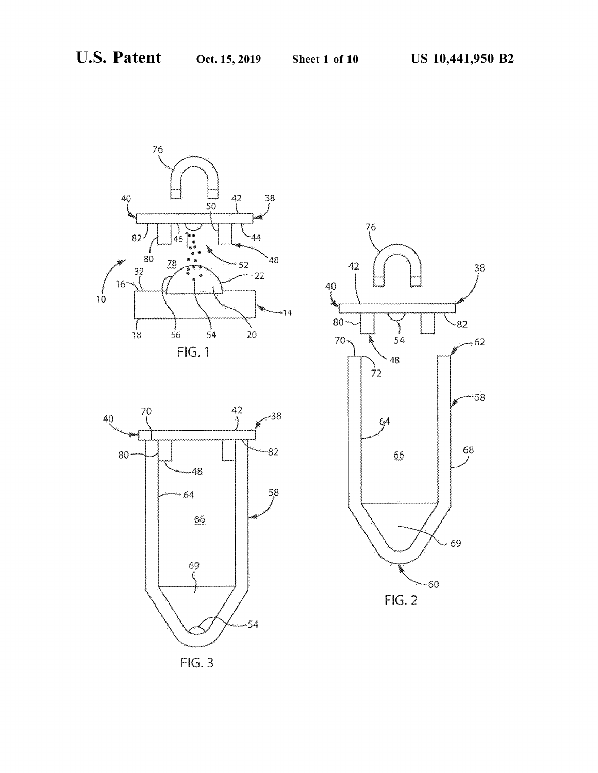





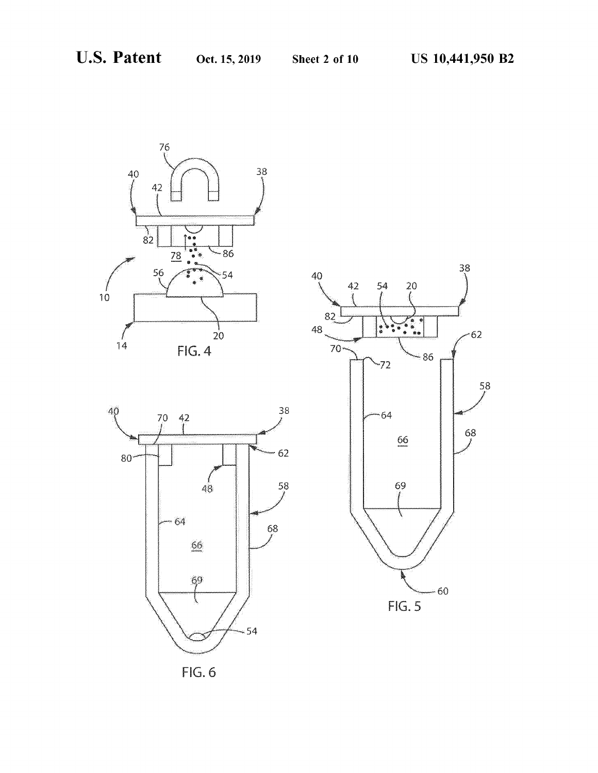





FIG. 6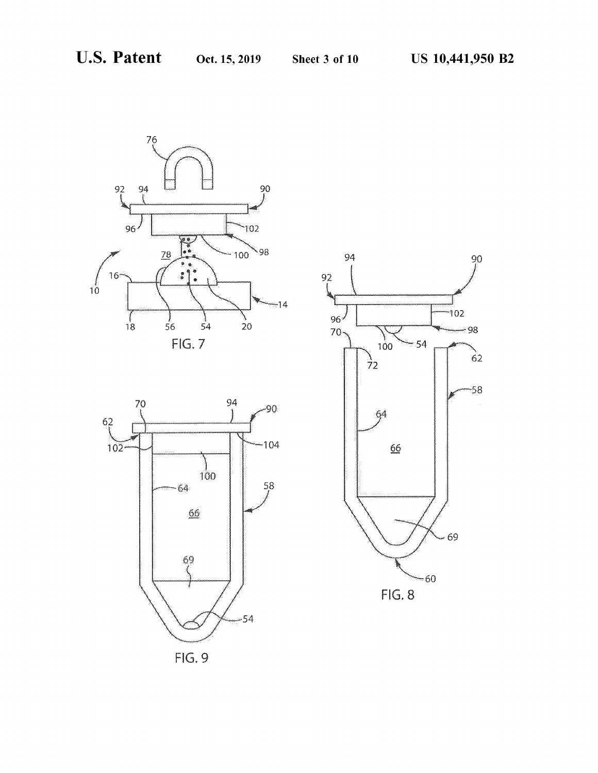



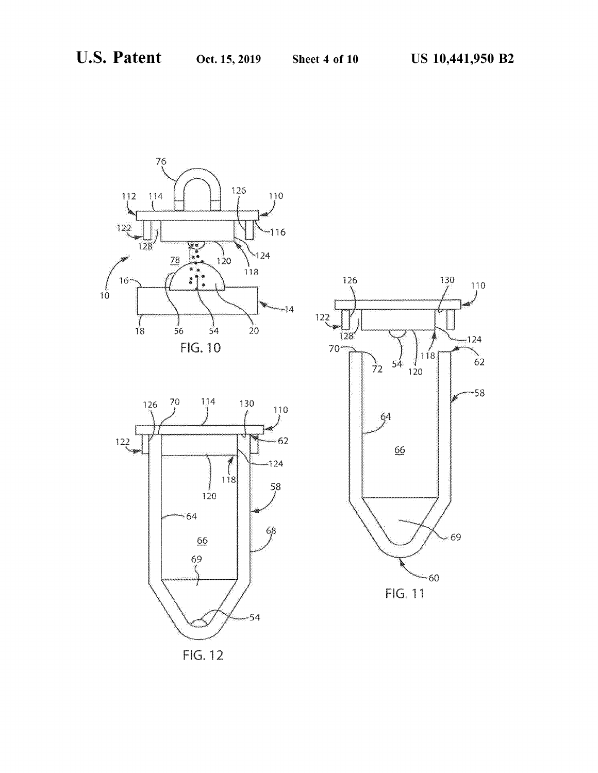





FlG. 12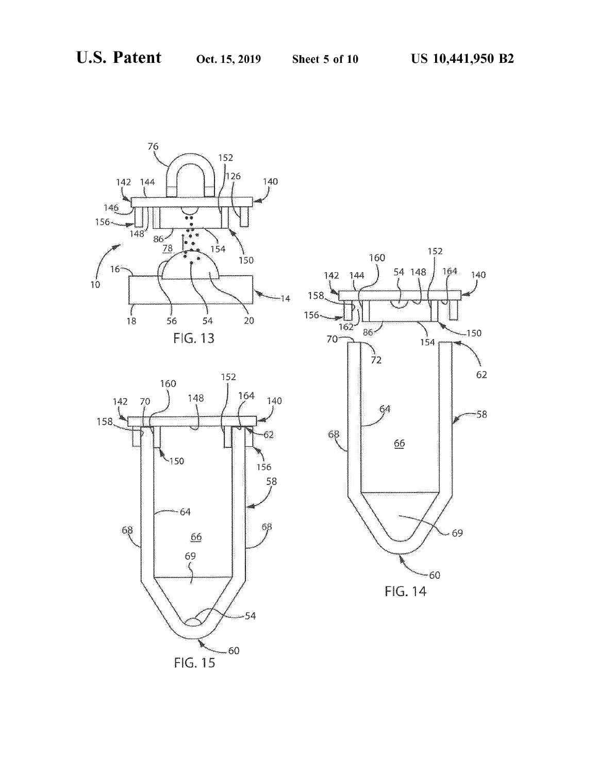

FIG. 15

54

-60

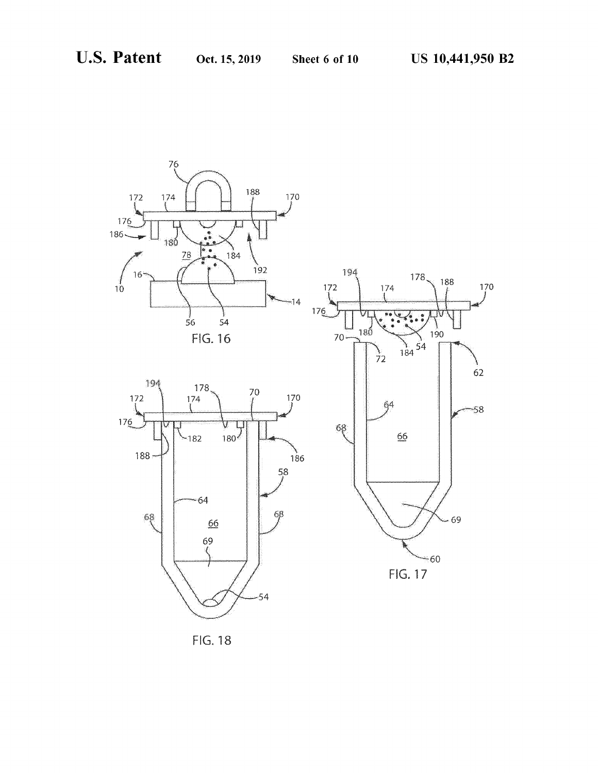

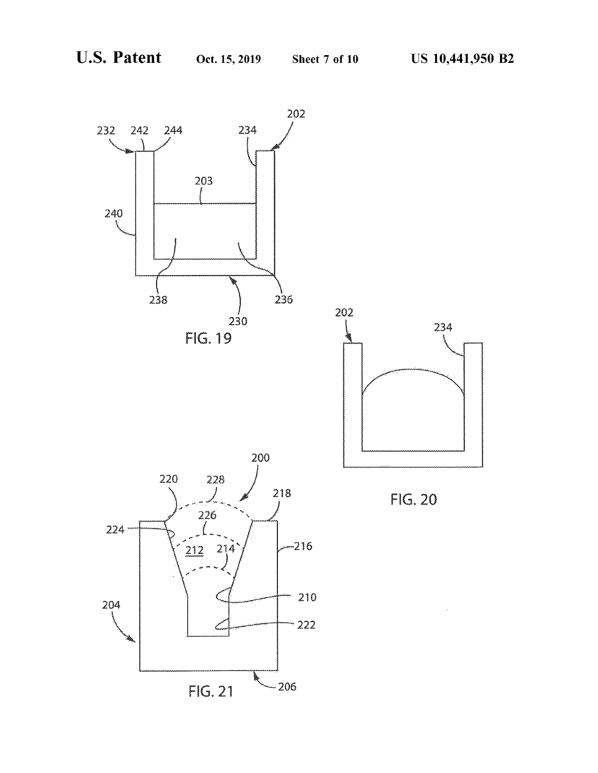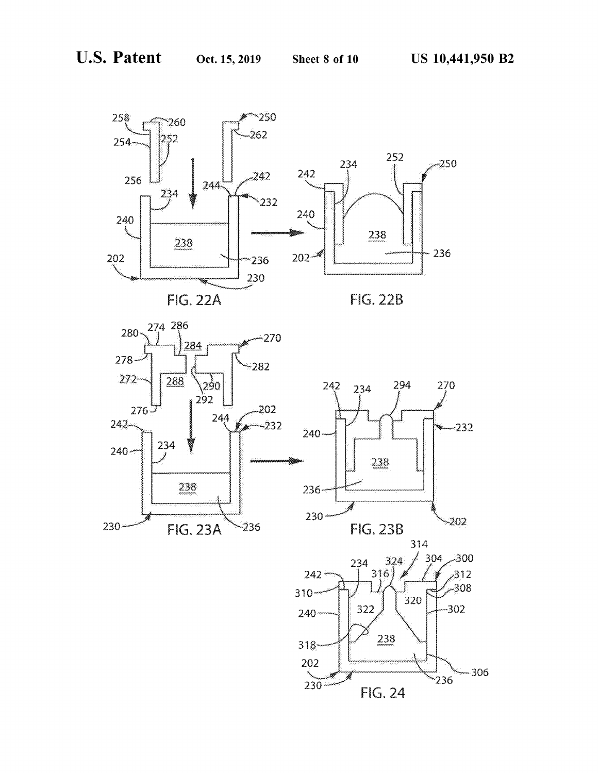







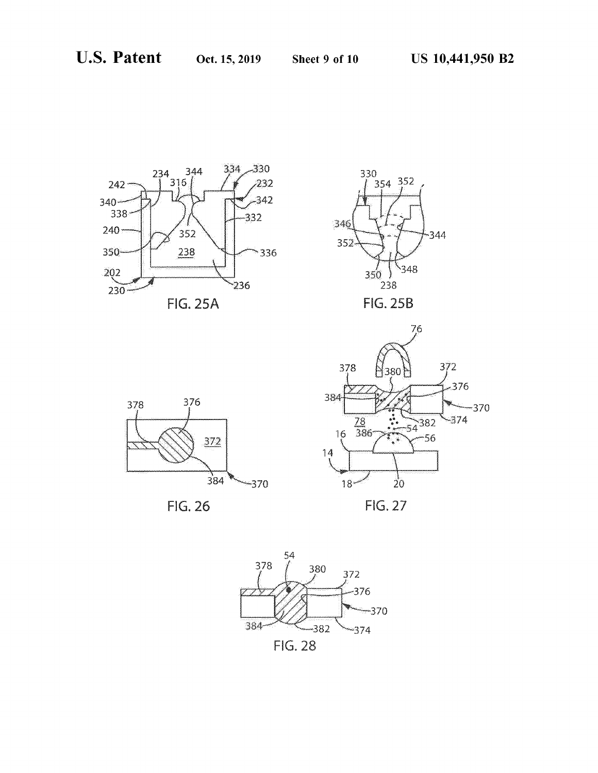











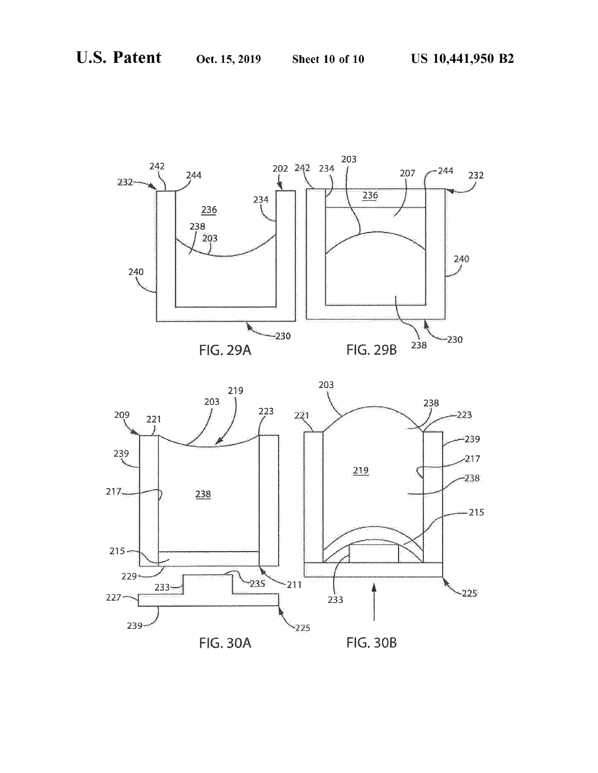

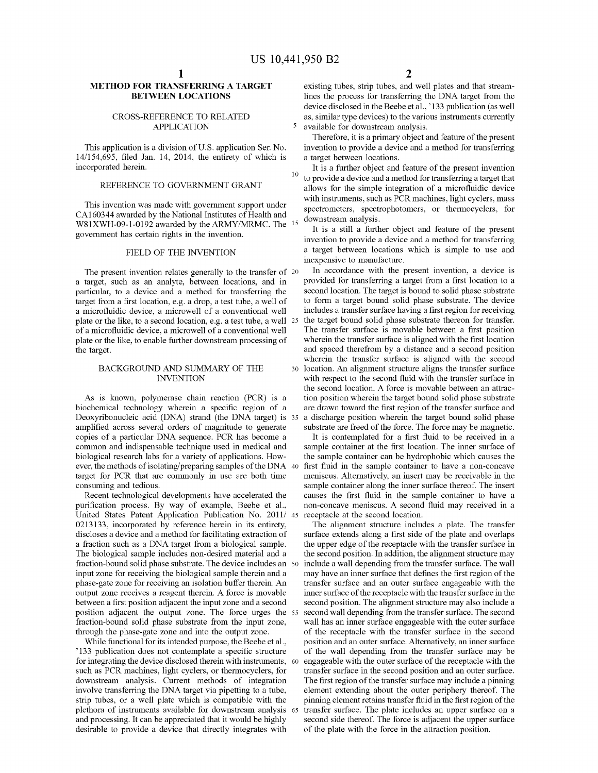# **METHOD FOR TRANSFERRING A TARGET BETWEEN LOCATIONS**

This application is a division of U.S. application Ser. No. 14/154,695, filed Jan. 14, 2014, the entirety of which is incorporated herein.

#### REFERENCE TO GOVERNMENT GRANT

This invention was made with govermnent support under CA160344 awarded by the National Institutes of Health and WSlXWH-09-1-0192 awarded by the ARMY/MRMC. The govermnent has certain rights in the invention.

### FIELD OF THE INVENTION

The present invention relates generally to the transfer of 20 a target, such as an analyte, between locations, and in particular, to a device and a method for transferring the target from a first location, e.g. a drop, a test tube, a well of a microfluidic device, a microwell of a conventional well includes a transfer surface having a first region for receiving plate or the like, to a second location, e.g. a test tube, a well of a microfluidic device, a microwell of a conventional well plate or the like, to enable further downstream processing of the target.

#### BACKGROUND AND SUMMARY OF THE INVENTION

biochemical technology wherein a specific region of a Deoxyribonucleic acid (DNA) strand (the DNA target) is 35 amplified across several orders of magnitude to generate copies of a particular DNA sequence. PCR has become a common and indispensable technique used in medical and biological research labs for a variety of applications. However, the methods of isolating/preparing samples of the DNA 40 target for PCR that are commonly in use are both time consuming and tedious.

Recent technological developments have accelerated the purification process. By way of example, Beebe et al., United States Patent Application Publication No. 2011/ 45 0213133, incorporated by reference herein in its entirety, discloses a device and a method for facilitating extraction of a fraction such as a DNA target from a biological sample. The biological sample includes non-desired material and a fraction-bound solid phase substrate. The device includes an 50 input zone for receiving the biological sample therein and a phase-gate zone for receiving an isolation buffer therein. An output zone receives a reagent therein. A force is movable between a first position adjacent the input zone and a second position adjacent the output zone. The force urges the 55 fraction-bound solid phase substrate from the input zone, through the phase-gate zone and into the output zone.

While functional for its intended purpose, the Beebe et al., '133 publication does not contemplate a specific structure for integrating the device disclosed therein with instruments, 60 such as PCR machines, light cyders, or thermocyclers, for downstream analysis. Current methods of integration involve transferring the DNA target via pipetting to a tube, strip tubes, or a well plate which is compatible with the plethora of instruments available for downstream analysis 65 and processing. It can be appreciated that it would be highly desirable to provide a device that directly integrates with

existing tubes, strip tubes, and well plates and that streamlines the process for transferring the DNA target from the device disclosed in the Beebe et al., '133 publication (as well CROSS-REFERENCE TO RELATED<br>  $\triangle$ PPI ICATION  $\triangle$ PPI ICATION  $\triangle$ APPLICATION 5 available for downstream analysis.

> Therefore, it is a primary object and feature of the present invention to provide a device and a method for transferring a target between locations.

It is a further object and feature of the present invention 10 to provide a device and a method for transferring a target that allows for the simple integration of a microfluidic device with instruments, such as PCR machines, light cyclers, mass spectrometers, spectrophotomers, or thermocyclers, for downstream analysis.

It is a still a further object and feature of the present invention to provide a device and a method for transferring a target between locations which is simple to use and inexpensive to manufacture.

In accordance with the present invention, a device is provided for transferring a target from a first location to a second location. The target is bound to solid phase substrate to form a target bound solid phase substrate. The device the target bound solid phase substrate thereon for transfer. The transfer surface is movable between a first position wherein the transfer surface is aligned with the first location and spaced therefrom by a distance and a second position wherein the transfer surface is aligned with the second 30 location. An aligmnent structure aligns the transfer surface with respect to the second fluid with the transfer surface in the second location. A force is movable between an attrac-As is known, polymerase chain reaction (PCR) is a tion position wherein the target bound solid phase substrate are drawn toward the first region of the transfer surface and a discharge position wherein the target bound solid phase substrate are freed of the force. The force may be magnetic.

> It is contemplated for a first fluid to be received in a sample container at the first location. The inner surface of the sample container can be hydrophobic which causes the first fluid in the sample container to have a non-concave meniscus. Alternatively, an insert may be receivable in the sample container along the inner surface thereof. The insert causes the first fluid in the sample container to have a non-concave meniscus. A second fluid may received in a receptacle at the second location.

> The alignment structure includes a plate. The transfer surface extends along a first side of the plate and overlaps the upper edge of the receptacle with the transfer surface in the second position. In addition, the alignment structure may include a wall depending from the transfer surface. The wall may have an inner surface that defines the first region of the transfer surface and an outer surface engageable with the inner surface of the receptacle with the transfer surface in the second position. The aligmnent structure may also include a second wall depending from the transfer surface. The second wall has an inner surface engageable with the outer surface of the receptacle with the transfer surface in the second position and an outer surface. Alternatively, an inner surface of the wall depending from the transfer surface may be engageable with the outer surface of the receptacle with the transfer surface in the second position and an outer surface. The first region of the transfer surface may include a pinning element extending about the outer periphery thereof. The pinning element retains transfer fluid in the first region of the transfer surface. The plate includes an upper surface on a second side thereof. The force is adjacent the upper surface of the plate with the force in the attraction position.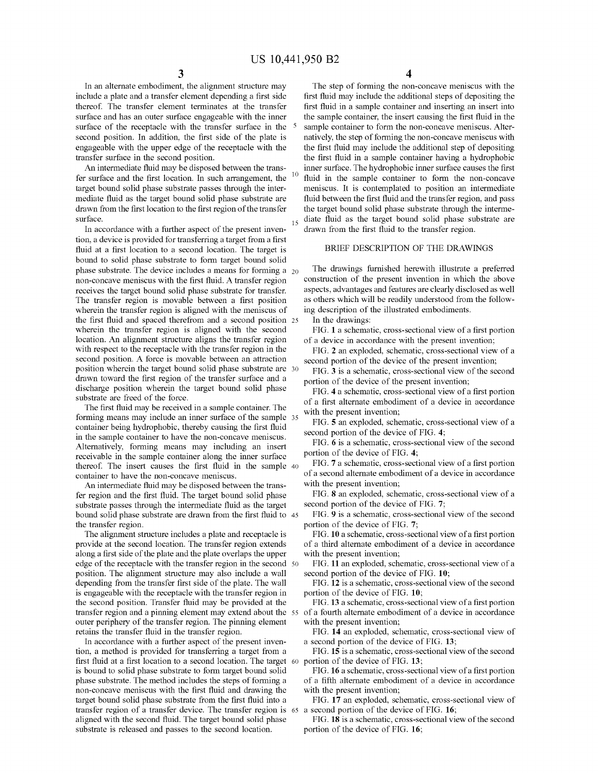In an alternate embodiment, the aligmnent structure may include a plate and a transfer element depending a first side thereof. The transfer element terminates at the transfer surface and has an outer surface engageable with the inner surface of the receptacle with the transfer surface in the <sup>5</sup> second position. In addition, the first side of the plate is engageable with the upper edge of the receptacle with the transfer surface in the second position.

An intermediate fluid may be disposed between the transfer surface and the first location. In such arrangement, the target bound solid phase substrate passes through the intermediate fluid as the target bound solid phase substrate are drawn from the first location to the first region of the transfer surface.

In accordance with a further aspect of the present inven- drawn from the first fluid to the transfer region. tion, a device is provided for transferring a target from a first fluid at a first location to a second location. The target is bound to solid phase substrate to form target bound solid phase substrate. The device includes a means for forming a  $_{20}$ non-concave meniscus with the first fluid. A transfer region receives the target bound solid phase substrate for transfer. The transfer region is movable between a first position wherein the transfer region is aligned with the meniscus of the first fluid and spaced therefrom and a second position 25 wherein the transfer region is aligned with the second location. An aligmnent structure aligns the transfer region with respect to the receptacle with the transfer region in the second position. A force is movable between an attraction position wherein the target bound solid phase substrate are 30 drawn toward the first region of the transfer surface and a discharge position wherein the target bound solid phase substrate are freed of the force.

The first fluid may be received in a sample container. The forming means may include an inner surface of the sample 35 container being hydrophobic, thereby causing the first fluid in the sample container to have the non-concave meniscus. Alternatively, forming means may including an insert receivable in the sample container along the inner surface thereof. The insert causes the first fluid in the sample 40 container to have the non-concave meniscus.

An intermediate fluid may be disposed between the transfer region and the first fluid. The target bound solid phase substrate passes through the intermediate fluid as the target bound solid phase substrate are drawn from the first fluid to 45 the transfer region.

The alignment structure includes a plate and receptacle is provide at the second location. The transfer region extends along a first side of the plate and the plate overlaps the upper edge of the receptacle with the transfer region in the second 50 position. The alignment structure may also include a wall depending from the transfer first side of the plate. The wall is engageable with the receptacle with the transfer region in the second position. Transfer fluid may be provided at the outer periphery of the transfer region. The pinning element retains the transfer fluid in the transfer region.

In accordance with a further aspect of the present invention, a method is provided for transferring a target from a first fluid at a first location to a second location. The target 60 is bound to solid phase substrate to form target bound solid phase substrate. The method includes the steps of forming a non-concave meniscus with the first fluid and drawing the target bound solid phase substrate from the first fluid into a transfer region of a transfer device. The transfer region is 65 aligned with the second fluid. The target bound solid phase substrate is released and passes to the second location.

**3 4** 

The step of forming the non-concave meniscus with the first fluid may include the additional steps of depositing the first fluid in a sample container and inserting an insert into the sample container, the insert causing the first fluid in the sample container to form the non-concave meniscus. Alternatively, the step of forming the non-concave meniscus with the first fluid may include the additional step of depositing the first fluid in a sample container having a hydrophobic inner surface. The hydrophobic inner surface causes the first fluid in the sample container to form the non-concave meniscus. It is contemplated to position an intermediate fluid between the first fluid and the transfer region, and pass the target bound solid phase substrate through the interme-<sub>15</sub> diate fluid as the target bound solid phase substrate are

# BRIEF DESCRIPTION OF THE DRAWINGS

The drawings furnished herewith illustrate a preferred construction of the present invention in which the above aspects, advantages and features are clearly disclosed as well as others which will be readily understood from the following description of the illustrated embodiments.

In the drawings:

FIG. **1** a schematic, cross-sectional view of a first portion of a device in accordance with the present invention;

FIG. **2** an exploded, schematic, cross-sectional view of a second portion of the device of the present invention;

FIG. **3** is a schematic, cross-sectional view of the second portion of the device of the present invention;

FIG. **4** a schematic, cross-sectional view of a first portion of a first alternate embodiment of a device in accordance with the present invention;

FIG. **5** an exploded, schematic, cross-sectional view of a second portion of the device of FIG. **4;** 

FIG. **6** is a schematic, cross-sectional view of the second portion of the device of FIG. **4;** 

FIG. **7** a schematic, cross-sectional view of a first portion of a second alternate embodiment of a device in accordance with the present invention;

FIG. **8** an exploded, schematic, cross-sectional view of a second portion of the device of FIG. **7;** 

FIG. **9** is a schematic, cross-sectional view of the second portion of the device of FIG. **7;** 

FIG. **10** a schematic, cross-sectional view of a first portion of a third alternate embodiment of a device in accordance with the present invention;

FIG. **11** an exploded, schematic, cross-sectional view of a second portion of the device of FIG. **10;** 

FIG. **12** is a schematic, cross-sectional view of the second portion of the device of FIG. **10;** 

transfer region and a pinning element may extend about the 55 of a fourth alternate embodiment of a device in accordance FIG. **13** a schematic, cross-sectional view of a first portion with the present invention;

> FIG. **14** an exploded, schematic, cross-sectional view of a second portion of the device of FIG. **13;**

> FIG. **15** is a schematic, cross-sectional view of the second portion of the device of FIG. **13;**

> FIG. **16** a schematic, cross-sectional view of a first portion of a fifth alternate embodiment of a device in accordance with the present invention;

> FIG. **17** an exploded, schematic, cross-sectional view of a second portion of the device of FIG. **16;**

> FIG. **18** is a schematic, cross-sectional view of the second portion of the device of FIG. **16;**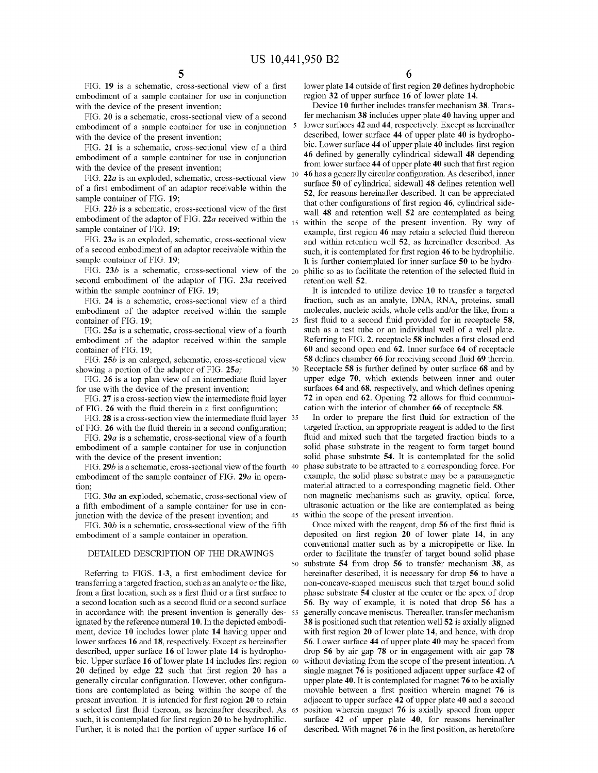FIG. **19** is a schematic, cross-sectional view of a first embodiment of a sample container for use in conjunction with the device of the present invention;

FIG. **20** is a schematic, cross-sectional view of a second embodiment of a sample container for use in conjunction <sup>5</sup> with the device of the present invention;

FIG. **21** is a schematic, cross-sectional view of a third embodiment of a sample container for use in conjunction with the device of the present invention;

FIG. *22a* is an exploded, schematic, cross-sectional view of a first embodiment of an adaptor receivable within the sample container of FIG. **19;** 

FIG. *22b* is a schematic, cross-sectional view of the first embodiment of the adaptor of FIG. *22a* received within the sample container of FIG. **19;** 

FIG. **23a** is an exploded, schematic, cross-sectional view of a second embodiment of an adaptor receivable within the sample container of FIG. **19;** 

FIG. 23b is a schematic, cross-sectional view of the <sub>20</sub> second embodiment of the adaptor of FIG. **23a** received within the sample container of FIG. **19;** 

FIG. **24** is a schematic, cross-sectional view of a third embodiment of the adaptor received within the sample container of FIG. **19;** 

FIG. **25a** is a schematic, cross-sectional view of a fourth embodiment of the adaptor received within the sample container of FIG. **19;** 

FIG. **25b** is an enlarged, schematic, cross-sectional view showing a portion of the adaptor of FIG. **25a;** 

FIG. **26** is a top plan view of an intermediate fluid layer for use with the device of the present invention;

FIG. **27** is a cross-section view the intermediate fluid layer of FIG. **26** with the fluid therein in a first configuration;

FIG. **28** is a cross-section view the intermediate fluid layer 35 of FIG. **26** with the fluid therein in a second configuration;

FIG. *29a* is a schematic, cross-sectional view of a fourth embodiment of a sample container for use in conjunction with the device of the present invention;

FIG. 29*b* is a schematic, cross-sectional view of the fourth 40 embodiment of the sample container of FIG. *29a* in operation;

FIG. **30a** an exploded, schematic, cross-sectional view of a fifth embodiment of a sample container for use in conjunction with the device of the present invention; and

FIG. **30b** is a schematic, cross-sectional view of the fifth embodiment of a sample container in operation.

# DETAILED DESCRIPTION OF THE DRAWINGS

Referring to FIGS. **1-3,** a first embodiment device for transferring a targeted fraction, such as an analyte or the like, from a first location, such as a first fluid or a first surface to a second location such as a second fluid or a second surface in accordance with the present invention is generally designated by the reference numeral **10.** In the depicted embodiment, device **10** includes lower plate **14** having upper and lower surfaces **16 and 18,** respectively. Except as hereinafter described, upper surface **16** of lower plate **14** is hydrophobic. Upper surface **16** of lower plate **14** includes first region **20** defined by edge **22** such that first region **20** has a generally circular configuration. However, other configurations are contemplated as being within the scope of the present invention. It is intended for first region **20** to retain a selected first fluid thereon, as hereinafter described. As such, it is contemplated for first region **20** to be hydrophilic. Further, it is noted that the portion of upper surface **16** of

**6** 

lower plate **14** outside of first region **20** defines hydrophobic region **32** of upper surface **16** of lower plate **14.** 

Device **10** further includes transfer mechanism **38.** Transfer mechanism **38** includes upper plate **40** having upper and 5 lower surfaces **42** and **44,** respectively. Except as hereinafter described, lower surface **44** of upper plate **40** is hydrophobic. Lower surface **44** of upper plate **40** includes first region **46** defined by generally cylindrical sidewall **48** depending from lower surface **44** of upper plate **40** such that first region 10 **46** has a generally circular configuration. As described, inner surface **50** of cylindrical sidewall **48** defines retention well **52,** for reasons hereinafter described. It can be appreciated that other configurations of first region **46,** cylindrical sidewall **48** and retention well **52** are contemplated as being within the scope of the present invention. By way of example, first region **46** may retain a selected fluid thereon and within retention well **52,** as hereinafter described. As such, it is contemplated for first region **46** to be hydrophilic. It is further contemplated for inner surface **50** to be hydro-20 philic so as to facilitate the retention of the selected fluid in retention well **52.** 

It is intended to utilize device **10** to transfer a targeted fraction, such as an analyte, DNA, RNA, proteins, small molecules, nucleic acids, whole cells and/or the like, from a 25 first fluid to a second fluid provided for in receptacle **58,**  such as a test tube or an individual well of a well plate. Referring to FIG. **2,** receptacle **58** includes a first closed end **60** and second open end **62.** Inner surface **64** of receptacle **58** defines chamber **66** for receiving second fluid **69** therein. 30 Receptacle **58** is further defined by outer surface **68** and by upper edge **70,** which extends between inner and outer surfaces **64** and **68,** respectively, and which defines opening **72** in open end **62.** Opening **72** allows for fluid communication with the interior of chamber **66** of receptacle **58.** 

In order to prepare the first fluid for extraction of the targeted fraction, an appropriate reagent is added to the first fluid and mixed such that the targeted fraction binds to a solid phase substrate in the reagent to form target bound solid phase substrate **54.** It is contemplated for the solid phase substrate to be attracted to a corresponding force. For example, the solid phase substrate may be a paramagnetic material attracted to a corresponding magnetic field. Other non-magnetic mechanisms such as gravity, optical force, ultrasonic actuation or the like are contemplated as being 45 within the scope of the present invention.

Once mixed with the reagent, drop **56** of the first fluid is deposited on first region **20** of lower plate **14,** in any conventional matter such as by a micropipette or like. In order to facilitate the transfer of target bound solid phase 50 substrate **54** from drop **56** to transfer mechanism **38,** as hereinafter described, it is necessary for drop **56** to have a non-concave-shaped meniscus such that target bound solid phase substrate **54** cluster at the center or the apex of drop **56.** By way of example, it is noted that drop **56** has a generally concave meniscus. Thereafter, transfer mechanism **38** is positioned such that retention well **52** is axially aligned with first region **20** of lower plate **14,** and hence, with drop **56.** Lower surface **44** of upper plate **40** may be spaced from drop **56** by air gap **78** or in engagement with air gap **78**  without deviating from the scope of the present intention. A single magnet **76** is positioned adjacent upper surface **42** of upper plate **40.** It is contemplated for magnet **76** to be axially movable between a first position wherein magnet **76** is adjacent to upper surface **42** of upper plate **40** and a second 65 position wherein magnet **76** is axially spaced from upper surface **42** of upper plate **40,** for reasons hereinafter described. With magnet **76** in the first position, as heretofore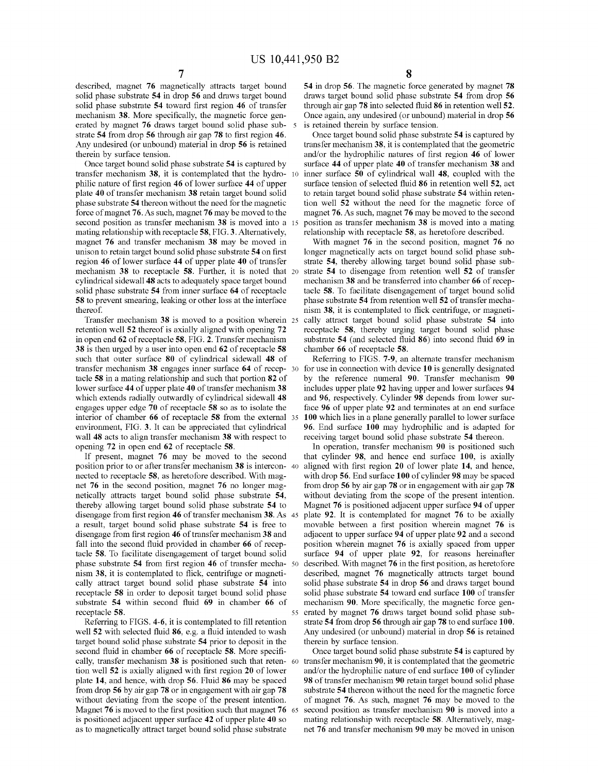described, magnet **76** magnetically attracts target bound solid phase substrate **54** in drop **56** and draws target bound solid phase substrate **54** toward first region **46** of transfer mechanism **38.** More specifically, the magnetic force generated by magnet **76** draws target bound solid phase substrate **54** from drop **56** through air gap **78** to first region **46.**  Any undesired ( or unbound) material in drop **56** is retained therein by surface tension.

Once target bound solid phase substrate **54** is captured by transfer mechanism **38,** it is contemplated that the hydrophilic nature of first region **46** of lower surface **44** of upper plate **40** of transfer mechanism **38** retain target bound solid phase substrate **54** thereon without the need for the magnetic force of magnet **76.** As such, magnet **76** may be moved to the second position as transfer mechanism **38** is moved into a mating relationship with receptacle **58,** FIG. **3.** Alternatively, magnet **76** and transfer mechanism **38** may be moved in unison to retain target bound solid phase substrate **54** on first region **46** of lower surface **44** of upper plate **40** of transfer mechanism **38** to receptacle **58.** Further, it is noted that cylindrical sidewall **48** acts to adequately space target bound solid phase substrate **54** from inner surface **64** of receptacle **58** to prevent smearing, leaking or other loss at the interface thereof.

Transfer mechanism **38** is moved to a position wherein retention well **52** thereof is axially aligned with opening **72**  in open end **62** of receptacle **58,** FIG. **2.** Transfer mechanism **38** is then urged by a user into open end **62** of receptacle **58**  such that outer surface **80** of cylindrical sidewall **48** of transfer mechanism **38** engages inner surface **64** of receptacle **58** in a mating relationship and such that portion **82** of lower surface **44** of upper plate **40** of transfer mechanism **38**  which extends radially outwardly of cylindrical sidewall **48**  engages upper edge **70** of receptacle **58** so as to isolate the interior of chamber **66** of receptacle **58** from the external environment, FIG. **3.** It can be appreciated that cylindrical wall **48** acts to align transfer mechanism **38** with respect to opening **72** in open end **62** of receptacle **58.** 

If present, magnet **76** may be moved to the second position prior to or after transfer mechanism **38** is interconnected to receptacle **58,** as heretofore described. With magnet **76** in the second position, magnet **76** no longer magnetically attracts target bound solid phase substrate **54,**  thereby allowing target bound solid phase substrate **54** to disengage from first region **46** of transfer mechanism **38.** As a result, target bound solid phase substrate **54** is free to disengage from first region **46** of transfer mechanism **38** and fall into the second fluid provided in chamber **66** of receptacle **58.** To facilitate disengagement of target bound solid phase substrate **54** from first region **46** of transfer mechanism **38,** it is contemplated to flick, centrifuge or magnetically attract target bound solid phase substrate **54** into receptacle **58** in order to deposit target bound solid phase substrate **54** within second fluid **69** in chamber **66** of receptacle **58.** 

Referring to FIGS. **4-6,** it is contemplated to fill retention well **52** with selected fluid **86,** e.g. a fluid intended to wash target bound solid phase substrate **54** prior to deposit in the second fluid in chamber **66** of receptacle **58.** More specifically, transfer mechanism **38** is positioned such that retention well **52** is axially aligned with first region **20** of lower plate **14,** and hence, with drop **56.** Fluid **86** may be spaced from drop **56** by air gap **78** or in engagement with air gap **78**  without deviating from the scope of the present intention. Magnet **76** is moved to the first position such that magnet **76**  is positioned adjacent upper surface **42** of upper plate **40** so as to magnetically attract target bound solid phase substrate

**54** in drop **56.** The magnetic force generated by magnet **78**  draws target bound solid phase substrate **54** from drop **56**  through air gap **78** into selected fluid **86** in retention well **52.**  Once again, any undesired ( or unbound) material in drop **56**  is retained therein by surface tension.

Once target bound solid phase substrate **54** is captured by transfer mechanism **38,** it is contemplated that the geometric and/or the hydrophilic natures of first region **46** of lower surface **44** of upper plate **40** of transfer mechanism **38** and inner surface 50 of cylindrical wall 48, coupled with the surface tension of selected fluid **86** in retention well **52,** act to retain target bound solid phase substrate **54** within retention well **52** without the need for the magnetic force of magnet **76.** As such, magnet **76** may be moved to the second 15 position as transfer mechanism **38** is moved into a mating relationship with receptacle **58,** as heretofore described.

With magnet **76** in the second position, magnet **76** no longer magnetically acts on target bound solid phase substrate **54,** thereby allowing target bound solid phase sub-20 strate **54** to disengage from retention well **52** of transfer mechanism **38** and be transferred into chamber **66** of receptacle **58.** To facilitate disengagement of target bound solid phase substrate **54** from retention well **52** of transfer mechanism **38,** it is contemplated to flick centrifuge, or magneti-25 cally attract target bound solid phase substrate **54** into receptacle **58,** thereby urging target bound solid phase substrate **54** (and selected fluid **86)** into second fluid **69** in chamber **66** of receptacle **58.** 

Referring to FIGS. **7-9,** an alternate transfer mechanism 30 for use in connection with device **10** is generally designated by the reference numeral **90.** Transfer mechanism **90**  includes upper plate **92** having upper and lower surfaces **94**  and **96,** respectively. Cylinder **98** depends from lower surface **96** of upper plate **92** and terminates at an end surface 100 which lies in a plane generally parallel to lower surface **96.** End surface **100** may hydrophilic and is adapted for receiving target bound solid phase substrate **54** thereon.

In operation, transfer mechanism **90** is positioned such that cylinder **98,** and hence end surface **100,** is axially 40 aligned with first region **20** of lower plate **14,** and hence, with drop **56.** End surface **100** of cylinder **98** may be spaced from drop **56** by air gap **78** or in engagement with air gap **78**  without deviating from the scope of the present intention. Magnet **76** is positioned adjacent upper surface **94** of upper 45 plate **92.** It is contemplated for magnet **76** to be axially movable between a first position wherein magnet **76** is adjacent to upper surface **94** of upper plate **92** and a second position wherein magnet **76** is axially spaced from upper surface **94** of upper plate **92,** for reasons hereinafter described. With magnet 76 in the first position, as heretofore described, magnet **76** magnetically attracts target bound solid phase substrate **54** in drop **56** and draws target bound solid phase substrate **54** toward end surface **100** of transfer mechanism **90.** More specifically, the magnetic force gen-55 erated by magnet **76** draws target bound solid phase substrate **54** from drop **56** through air gap **78** to end surface **100.**  Any undesired ( or unbound) material in drop **56** is retained therein by surface tension.

Once target bound solid phase substrate **54** is captured by transfer mechanism 90, it is contemplated that the geometric and/or the hydrophilic nature of end surface **100** of cylinder **98** of transfer mechanism **90** retain target bound solid phase substrate **54** thereon without the need for the magnetic force of magnet **76.** As such, magnet **76** may be moved to the second position as transfer mechanism 90 is moved into a mating relationship with receptacle **58.** Alternatively, magnet **76** and transfer mechanism **90** may be moved in unison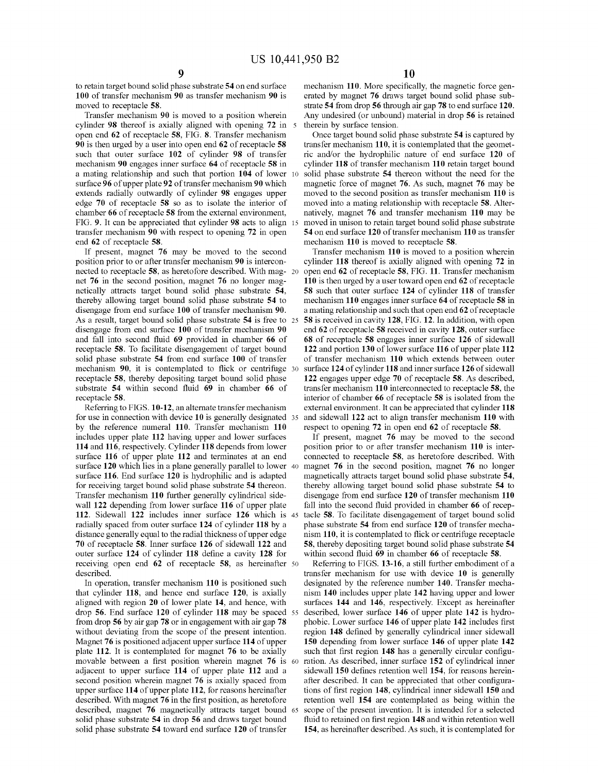to retain target bound solid phase substrate **54** on end surface **100** of transfer mechanism **90** as transfer mechanism **90** is moved to receptacle **58.** 

Transfer mechanism **90** is moved to a position wherein cylinder **98** thereof is axially aligned with opening **72** in open end **62** of receptacle **58,** FIG. **8.** Transfer mechanism **90** is then urged by a user into open end **62** of receptacle **58**  such that outer surface **102** of cylinder **98** of transfer mechanism **90** engages inner surface **64** of receptacle **58** in a mating relationship and such that portion **104** of lower surface **96** of upper plate **92** of transfer mechanism **90** which extends radially outwardly of cylinder **98** engages upper edge **70** of receptacle **58** so as to isolate the interior of chamber **66** of receptacle **58** from the external environment, FIG. **9.** It can be appreciated that cylinder **98** acts to align transfer mechanism **90** with respect to opening **72** in open end **62** of receptacle **58.** 

If present, magnet **76** may be moved to the second position prior to or after transfer mechanism **90** is interconnected to receptacle **58,** as heretofore described. With mag- 20 net **76** in the second position, magnet **76** no longer magnetically attracts target bound solid phase substrate **54,**  thereby allowing target bound solid phase substrate **54** to disengage from end surface **100** of transfer mechanism **90.**  As a result, target bound solid phase substrate **54** is free to 25 disengage from end surface **100** of transfer mechanism **90**  and fall into second fluid **69** provided in chamber **66** of receptacle **58.** To facilitate disengagement of target bound solid phase substrate **54** from end surface **100** of transfer mechanism **90,** it is contemplated to flick or centrifuge 30 receptacle **58,** thereby depositing target bound solid phase substrate **54** within second fluid **69** in chamber **66** of receptacle **58.** 

for use in connection with device **10** is generally designated by the reference numeral **110.** Transfer mechanism **110**  includes upper plate **112** having upper and lower surfaces **114** and **116,** respectively. Cylinder **118** depends from lower surface **116** of upper plate **112** and terminates at an end surface **120** which lies in a plane generally parallel to lower surface **116.** End surface **120** is hydrophilic and is adapted for receiving target bound solid phase substrate **54** thereon. Transfer mechanism **110** further generally cylindrical sidewall **122** depending from lower surface **116** of upper plate **112.** Sidewall **122** includes inner surface **126** which is radially spaced from outer surface **124** of cylinder **118** by a distance generally equal to the radial thickness of upper edge **70** of receptacle **58.** Inner surface **126** of sidewall **122** and **58,** thereby depositing target bound solid phase substrate **54**  outer surface **124** of cylinder **118** define a cavity **128** for receiving open end **62** of receptacle **58,** as hereinafter 50 described.

In operation, transfer mechanism **110** is positioned such that cylinder **118,** and hence end surface **120,** is axially aligned with region **20** of lower plate **14,** and hence, with drop **56.** End surface **120** of cylinder **118** may be spaced from drop **56** by air gap **78** or in engagement with air gap **78**  without deviating from the scope of the present intention. Magnet **76** is positioned adjacent upper surface **114** of upper plate **112.** It is contemplated for magnet **76** to be axially movable between a first position wherein magnet **76** is adjacent to upper surface **114** of upper plate **112** and a second position wherein magnet **76** is axially spaced from upper surface **114** of upper plate **112,** for reasons hereinafter described. With magnet **76** in the first position, as heretofore described, magnet **76** magnetically attracts target bound solid phase substrate **54** in drop **56** and draws target bound solid phase substrate **54** toward end surface **120** of transfer

mechanism **110.** More specifically, the magnetic force generated by magnet **76** draws target bound solid phase substrate **54** from drop **56** through air gap **78** to end surface **120.**  Any undesired ( or unbound) material in drop **56** is retained therein by surface tension.

Once target bound solid phase substrate **54** is captured by transfer mechanism **110,** it is contemplated that the geometric and/or the hydrophilic nature of end surface **120** of cylinder **118** of transfer mechanism **110** retain target bound solid phase substrate 54 thereon without the need for the magnetic force of magnet **76.** As such, magnet **76** may be moved to the second position as transfer mechanism **110** is moved into a mating relationship with receptacle **58.** Alternatively, magnet **76** and transfer mechanism **110** may be moved in unison to retain target bound solid phase substrate **54** on end surface **120** of transfer mechanism **110** as transfer mechanism **110** is moved to receptacle **58.** 

Transfer mechanism **110** is moved to a position wherein cylinder **118** thereof is axially aligned with opening **72** in open end **62** of receptacle **58,** FIG. **11.** Transfer mechanism **110** is then urged by a user toward open end **62** ofreceptacle **58** such that outer surface **124** of cylinder **118** of transfer mechanism **110** engages inner surface **64** ofreceptacle **58** in a mating relationship and such that open end **62** of receptacle **58** is received in cavity **128,** FIG. **12.** In addition, with open end **62** of receptacle **58** received in cavity **128,** outer surface **68** of receptacle **58** engages inner surface **126** of sidewall **122** and portion **130** of lower surface **116** of upper plate **112**  of transfer mechanism **110** which extends between outer surface **124** of cylinder **118** and inner surface **126** of sidewall **122** engages upper edge **70** of receptacle **58.** As described, transfer mechanism **110** interconnected to receptacle **58,** the interior of chamber **66** of receptacle **58** is isolated from the external environment. It can be appreciated that cylinder 118 35 and sidewall **122** act to align transfer mechanism **110** with respect to opening **72** in open end **62** of receptacle **58.** 

If present, magnet **76** may be moved to the second position prior to or after transfer mechanism **110** is interconnected to receptacle **58,** as heretofore described. With 40 magnet **76** in the second position, magnet **76** no longer magnetically attracts target bound solid phase substrate **54,**  thereby allowing target bound solid phase substrate **54** to disengage from end surface **120** of transfer mechanism **110**  fall into the second fluid provided in chamber **66** of receptacle 58. To facilitate disengagement of target bound solid phase substrate **54** from end surface **120** of transfer mechanism **110,** it is contemplated to flick or centrifuge receptacle within second fluid **69** in chamber **66** of receptacle **58.** 

Referring to FIGS. **13-16,** a still further embodiment of a transfer mechanism for use with device **10** is generally designated by the reference number **140.** Transfer mechanism **140** includes upper plate **142** having upper and lower surfaces **144 and 146,** respectively. Except as hereinafter 55 described, lower surface **146** of upper plate **142** is hydrophobic. Lower surface **146** of upper plate **142** includes first region **148** defined by generally cylindrical inner sidewall **150** depending from lower surface **146** of upper plate **142**  such that first region **148** has a generally circular configuration. As described, inner surface 152 of cylindrical inner sidewall **150** defines retention well **154,** for reasons hereinafter described. It can be appreciated that other configurations of first region **148,** cylindrical inner sidewall **150** and retention well **154** are contemplated as being within the scope of the present invention. It is intended for a selected fluid to retained on first region **148** and within retention well **154,** as hereinafter described. As such, it is contemplated for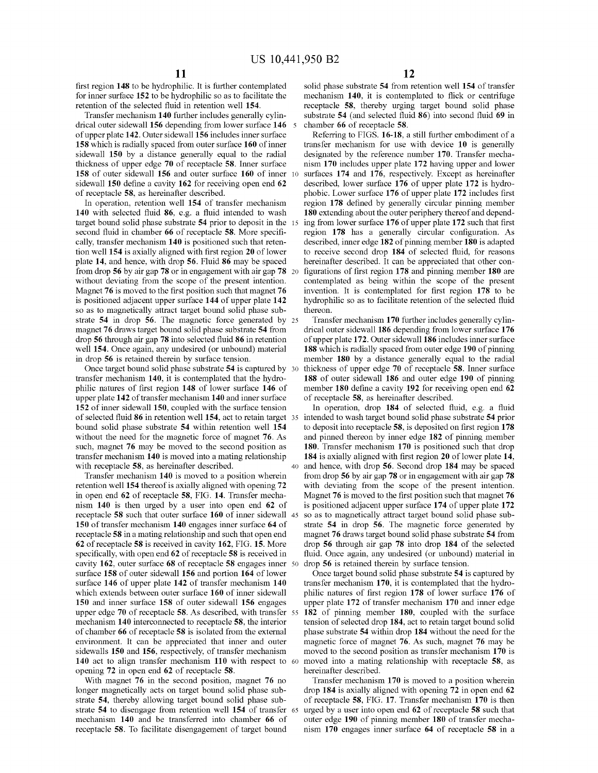first region **148** to be hydrophilic. It is further contemplated for inner surface **152** to be hydrophilic so as to facilitate the retention of the selected fluid in retention well **154.** 

Transfer mechanism **140** further includes generally cylindrical outer sidewall **156** depending from lower surface **146** 5 of upper plate **142.** Outer sidewall **156** includes inner surface **158** which is radially spaced from outer surface **160** of inner sidewall **150** by a distance generally equal to the radial thickness of upper edge **70** of receptacle **58.** Inner surface **158** of outer sidewall **156** and outer surface **160** of inner 10 sidewall **150** define a cavity **162** for receiving open end **62**  of receptacle **58,** as hereinafter described.

In operation, retention well **154** of transfer mechanism **140** with selected fluid **86,** e.g. a fluid intended to wash target bound solid phase substrate **54** prior to deposit in the 15 second fluid in chamber **66** of receptacle **58.** More specifically, transfer mechanism **140** is positioned such that retention well **154** is axially aligned with first region **20** of lower plate **14,** and hence, with drop **56.** Fluid **86** may be spaced from drop **56** by air gap **78** or in engagement with air gap **78** 20 without deviating from the scope of the present intention. Magnet **76** is moved to the first position such that magnet **76**  is positioned adjacent upper surface **144** of upper plate **142**  so as to magnetically attract target bound solid phase substrate **54** in drop **56.** The magnetic force generated by 25 magnet **76** draws target bound solid phase substrate **54** from drop **56** through air gap **78** into selected fluid **86** in retention well **154.** Once again, any undesired (or unbound) material in drop **56** is retained therein by surface tension.

Once target bound solid phase substrate **54** is captured by 30 transfer mechanism **140,** it is contemplated that the hydrophilic natures of first region **148** of lower surface **146** of upper plate **142** of transfer mechanism **140** and inner surface **152** of inner sidewall **150,** coupled with the surface tension of selected fluid 86 in retention well 154, act to retain target 35 intended to wash target bound solid phase substrate 54 prior bound solid phase substrate **54** within retention well **154**  without the need for the magnetic force of magnet **76.** As such, magnet **76** may be moved to the second position as transfer mechanism **140** is moved into a mating relationship

Transfer mechanism **140** is moved to a position wherein retention well **154** thereof is axially aligned with opening **72**  in open end **62** of receptacle **58,** FIG. **14.** Transfer mechanism **140** is then urged by a user into open end **62** of receptacle **58** such that outer surface **160** of inner sidewall 45 **150** of transfer mechanism **140** engages inner surface **64** of receptacle **58** in a mating relationship and such that open end **62** ofreceptacle **58** is received in cavity **162,** FIG. **15.** More specifically, with open end **62** of receptacle **58** is received in cavity **162,** outer surface **68** of receptacle **58** engages inner 50 surface **158** of outer sidewall **156** and portion **164** of lower surface **146** of upper plate **142** of transfer mechanism **140**  which extends between outer surface **160** of inner sidewall **150** and inner surface **158** of outer sidewall **156** engages upper edge **70** of receptacle **58.** As described, with transfer 55 mechanism **140** interconnected to receptacle **58,** the interior of chamber **66** of receptacle **58** is isolated from the external environment. It can be appreciated that inner and outer sidewalls **150** and **156,** respectively, of transfer mechanism **140** act to align transfer mechanism **110** with respect to 60 opening **72** in open end **62** of receptacle **58.** 

With magnet **76** in the second position, magnet **76** no longer magnetically acts on target bound solid phase substrate **54,** thereby allowing target bound solid phase substrate **54** to disengage from retention well **154** of transfer 65 mechanism **140** and be transferred into chamber **66** of receptacle **58.** To facilitate disengagement of target bound

solid phase substrate **54** from retention well **154** of transfer mechanism **140,** it is contemplated to flick or centrifuge receptacle **58,** thereby urging target bound solid phase substrate **54** (and selected fluid **86)** into second fluid **69** in chamber **66** of receptacle **58.** 

Referring to FIGS. **16-18,** a still further embodiment of a transfer mechanism for use with device **10** is generally designated by the reference number **170.** Transfer mechanism **170** includes upper plate **172** having upper and lower surfaces **174 and 176,** respectively. Except as hereinafter described, lower surface **176** of upper plate **172** is hydrophobic. Lower surface **176** of upper plate **172** includes first region **178** defined by generally circular pinning member **180** extending about the outer periphery thereof and depending from lower surface **176** of upper plate **172** such that first region **178** has a generally circular configuration. As described, inner edge **182** of pinning member **180** is adapted to receive second drop **184** of selected fluid, for reasons hereinafter described. It can be appreciated that other configurations of first region **178** and pinning member **180** are contemplated as being within the scope of the present invention. It is contemplated for first region **178** to be hydrophilic so as to facilitate retention of the selected fluid thereon.

Transfer mechanism **170** further includes generally cylindrical outer sidewall **186** depending from lower surface **176**  of upper plate **172.** Outer sidewall **186** includes inner surface **188** which is radially spaced from outer edge **190** of pinning member **180** by a distance generally equal to the radial thickness of upper edge **70** of receptacle **58.** Inner surface **188** of outer sidewall **186** and outer edge **190** of pinning member **180** define a cavity **192** for receiving open end **62**  of receptacle **58,** as hereinafter described.

In operation, drop **184** of selected fluid, e.g. a fluid to deposit into receptacle **58,** is deposited on first region **178**  and pinned thereon by inner edge **182** of pinning member **180.** Transfer mechanism **170** is positioned such that drop **184** is axially aligned with first region 20 of lower plate 14, with receptacle **58**, as hereinafter described. 40 and hence, with drop **56**. Second drop **184** may be spaced from drop **56** by air gap **78** or in engagement with air gap **78**  with deviating from the scope of the present intention. Magnet **76** is moved to the first position such that magnet **76**  is positioned adjacent upper surface **17 4** of upper plate **172**  so as to magnetically attract target bound solid phase substrate **54** in drop **56.** The magnetic force generated by magnet **76** draws target bound solid phase substrate **54** from drop **56** through air gap **78** into drop **184** of the selected fluid. Once again, any undesired (or unbound) material in drop **56** is retained therein by surface tension.

> Once target bound solid phase substrate **54** is captured by transfer mechanism **170,** it is contemplated that the hydrophilic natures of first region **178** of lower surface **176** of upper plate **172** of transfer mechanism **170** and inner edge **182** of pinning member **180,** coupled with the surface tension of selected drop **184,** act to retain target bound solid phase substrate **54** within drop **184** without the need for the magnetic force of magnet **76.** As such, magnet **76** may be moved to the second position as transfer mechanism **170** is moved into a mating relationship with receptacle **58,** as hereinafter described.

> Transfer mechanism **170** is moved to a position wherein drop **184** is axially aligned with opening **72** in open end **62**  of receptacle **58,** FIG. **17.** Transfer mechanism **170** is then urged by a user into open end **62** of receptacle **58** such that outer edge **190** of pinning member **180** of transfer mechanism **170** engages inner surface **64** of receptacle **58** in a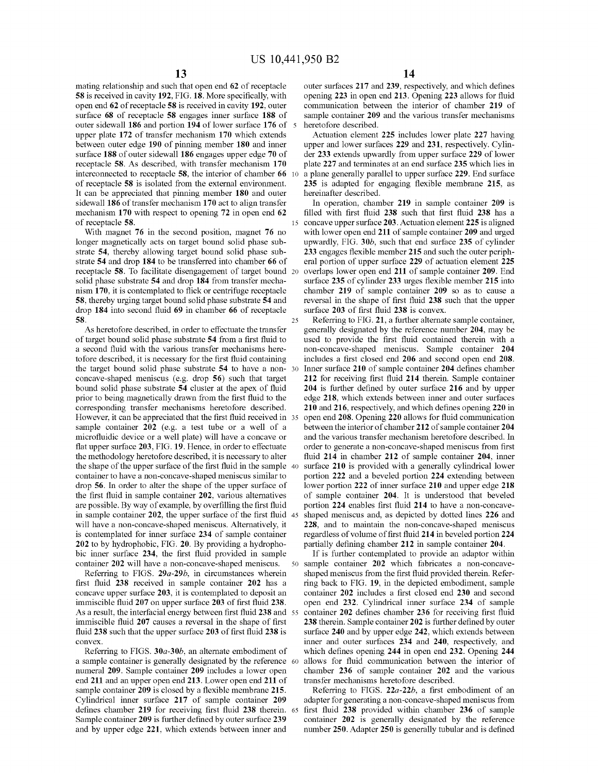25

mating relationship and such that open end **62** of receptacle **58** is received in cavity **192,** FIG. **18.** More specifically, with open end **62** of receptacle **58** is received in cavity **192,** outer surface **68** of receptacle **58** engages inner surface **188** of outer sidewall **186** and portion **194** of lower surface **176** of 5 upper plate **172** of transfer mechanism **170** which extends between outer edge **190** of pinning member **180** and inner surface **188** of outer sidewall **186** engages upper edge **70** of receptacle **58.** As described, with transfer mechanism **170**  interconnected to receptacle 58, the interior of chamber 66 of receptacle **58** is isolated from the external environment. It can be appreciated that pinning member **180** and outer sidewall **186** of transfer mechanism **170** act to align transfer mechanism **170** with respect to opening **72** in open end **62**  of receptacle **58.** 15 concave upper surface **203.** Actuation element **225** is aligned

With magnet **76** in the second position, magnet **76** no longer magnetically acts on target bound solid phase substrate **54,** thereby allowing target bound solid phase substrate **54** and drop **184** to be transferred into chamber **66** of receptacle **58.** To facilitate disengagement of target bound 20 solid phase substrate **54** and drop **184** from transfer mechanism **170,** it is contemplated to flick or centrifuge receptacle **58,** thereby urging target bound solid phase substrate **54** and drop **184** into second fluid **69** in chamber **66** of receptacle **58.** 

As heretofore described, in order to effectuate the transfer of target bound solid phase substrate **54** from a first fluid to a second fluid with the various transfer mechanisms heretofore described, it is necessary for the first fluid containing the target bound solid phase substrate **54** to have a nonconcave-shaped meniscus (e.g. drop **56)** such that target bound solid phase substrate **54** cluster at the apex of fluid prior to being magnetically drawn from the first fluid to the corresponding transfer mechanisms heretofore described. However, it can be appreciated that the first fluid received in 35 sample container **202** (e.g. a test tube or a well of a microfluidic device or a well plate) will have a concave or flat upper surface **203,** FIG. **19.** Hence, in order to effectuate the methodology heretofore described, it is necessary to alter the shape of the upper surface of the first fluid in the sample 40 container to have a non-concave-shaped meniscus similar to drop **56.** In order to alter the shape of the upper surface of the first fluid in sample container **202,** various alternatives are possible. By way of example, by overfilling the first fluid in sample container **202,** the upper surface of the first fluid 45 will have a non-concave-shaped meniscus. Alternatively, it is contemplated for inner surface **234** of sample container **202** to by hydrophobic, FIG. **20.** By providing a hydrophobic inner surface **234,** the first fluid provided in sample container **202** will have a non-concave-shaped meniscus.

Referring to FIGS. *29a-29b,* in circumstances wherein first fluid **238** received in sample container **202** has a concave upper surface **203,** it is contemplated to deposit an immiscible fluid **207** on upper surface **203** of first fluid **238.**  As a result, the interfacial energy between first fluid **238** and 55 immiscible fluid **207** causes a reversal in the shape of first fluid **238** such that the upper surface **203** of first fluid **238** is convex.

Referring to FIGS. **30a-30b,** an alternate embodiment of a sample container is generally designated by the reference 60 numeral **209.** Sample container **209** includes a lower open end **211** and an upper open end **213.** Lower open end **211** of sample container **209** is closed by a flexible membrane **215.**  Cylindrical inner surface **217** of sample container **209**  defines chamber **219** for receiving first fluid **238** therein. 65 Sample container **209** is further defined by outer surface **239**  and by upper edge **221,** which extends between inner and

outer surfaces **217** and **239,** respectively, and which defines opening **223** in open end **213.** Opening **223** allows for fluid communication between the interior of chamber **219** of sample container **209** and the various transfer mechanisms heretofore described.

Actuation element **225** includes lower plate **227** having upper and lower surfaces **229 and 231,** respectively. Cylinder **233** extends upwardly from upper surface **229** of lower plate **227** and terminates at an end surface **235** which lies in a plane generally parallel to upper surface **229.** End surface **235** is adapted for engaging flexible membrane **215,** as hereinafter described.

In operation, chamber **219** in sample container **209** is filled with first fluid **238** such that first fluid **238** has a with lower open end **211** of sample container **209** and urged upwardly, FIG. **30b,** such that end surface **235** of cylinder **233** engages flexible member **215** and such the outer peripheral portion of upper surface **229** of actuation element **225**  overlaps lower open end **211** of sample container **209.** End surface **235** of cylinder **233** urges flexible member **215** into chamber **219** of sample container **209** so as to cause a reversal in the shape of first fluid **238** such that the upper surface **203** of first fluid **238** is convex.

Referring to FIG. **21,** a further alternate sample container, generally designated by the reference number **204,** may be used to provide the first fluid contained therein with a non-concave-shaped meniscus. Sample container **204**  includes a first closed end **206** and second open end **208.**  30 Inner surface **210** of sample container **204** defines chamber **212** for receiving first fluid **214** therein. Sample container **204** is further defined by outer surface **216** and by upper edge **218,** which extends between inner and outer surfaces **210 and 216,** respectively, and which defines opening **220** in 35 open end **208.** Opening **220** allows for fluid communication between the interior of chamber **212** of sample container **204**  and the various transfer mechanism heretofore described. In order to generate a non-concave-shaped meniscus from first fluid **214** in chamber **212** of sample container **204,** inner surface **210** is provided with a generally cylindrical lower portion **222** and a beveled portion **224** extending between lower portion **222** of inner surface **210** and upper edge **218**  of sample container **204.** It is understood that beveled portion **224** enables first fluid **214** to have a non-concaveshaped meniscus and, as depicted by dotted lines **226** and **228,** and to maintain the non-concave-shaped meniscus regardless of volume of first fluid **214** in beveled portion **224**  partially defining chamber **212** in sample container **204.** 

If is further contemplated to provide an adaptor within 50 sample container **202** which fabricates a non-concaveshaped meniscus from the first fluid provided therein. Referring back to FIG. **19,** in the depicted embodiment, sample container **202** includes a first closed end **230** and second open end **232.** Cylindrical inner surface **234** of sample container **202** defines chamber **236** for receiving first fluid **238** therein. Sample container **202** is further defined by outer surface **240** and by upper edge **242,** which extends between inner and outer surfaces **234** and **240,** respectively, and which defines opening **244** in open end **232.** Opening **244**  chamber **236** of sample container **202** and the various transfer mechanisms heretofore described.

Referring to FIGS. *22a-22b,* a first embodiment of an adapter for generating a non-concave-shaped meniscus from first fluid **238** provided within chamber **236** of sample container **202** is generally designated by the reference number **250.** Adapter **250** is generally tubular and is defined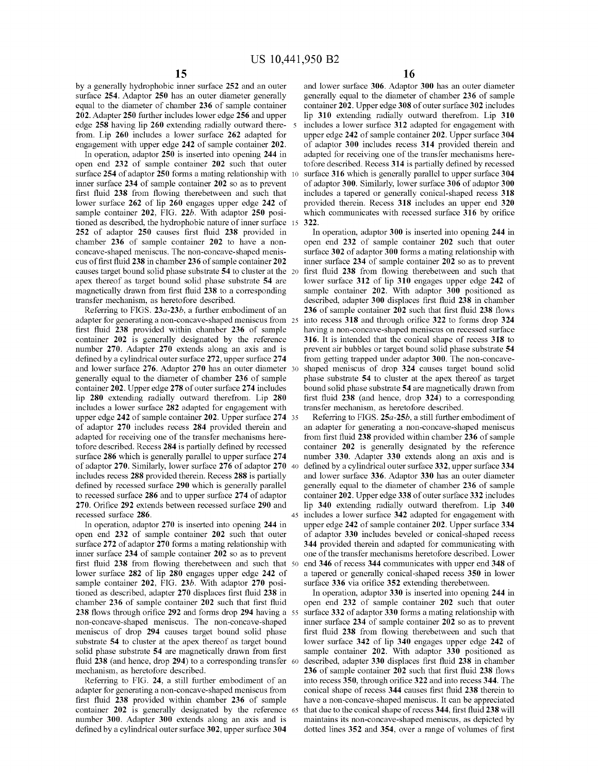by a generally hydrophobic inner surface **252** and an outer surface **254.** Adaptor **250** has an outer diameter generally equal to the diameter of chamber **236** of sample container **202.** Adapter **250** further includes lower edge **256** and upper edge **258** having lip **260** extending radially outward there- 5 from. Lip **260** includes a lower surface **262** adapted for engagement with upper edge **242** of sample container **202.** 

In operation, adaptor **250** is inserted into opening **244** in open end **232** of sample container **202** such that outer surface 254 of adaptor 250 forms a mating relationship with inner surface **234** of sample container **202** so as to prevent first fluid **238** from flowing therebetween and such that lower surface **262** of lip **260** engages upper edge **242** of sample container **202,** FIG. **22b.** With adaptor **250** positioned as described, the hydrophobic nature of inner surface **252** of adaptor **250** causes first fluid **238** provided in chamber **236** of sample container **202** to have a nonconcave-shaped meniscus. The non-concave-shaped meniscus of first fluid **238** in chamber **236** of sample container **202**  causes target bound solid phase substrate **54** to cluster at the 20 apex thereof as target bound solid phase substrate **54** are magnetically drawn from first fluid **238** to a corresponding transfer mechanism, as heretofore described.

Referring to FIGS. **23a-23b,** a further embodiment of an adapter for generating a non-concave-shaped meniscus from 25 first fluid **238** provided within chamber **236** of sample container **202** is generally designated by the reference number **270.** Adapter **270** extends along an axis and is defined by a cylindrical outer surface **272,** upper surface **274**  and lower surface **276.** Adaptor **270** has an outer diameter 30 generally equal to the diameter of chamber **236** of sample container **202.** Upper edge **278** of outer surface **274** includes lip **280** extending radially outward therefrom. Lip **280**  includes a lower surface **282** adapted for engagement with upper edge 242 of sample container 202. Upper surface 274 35 of adaptor **270** includes recess **284** provided therein and adapted for receiving one of the transfer mechanisms heretofore described. Recess **284** is partially defined by recessed surface **286** which is generally parallel to upper surface **274**  of adaptor **270.** Similarly, lower surface **276** of adaptor **270** <sup>40</sup> includes recess **288** provided therein. Recess **288** is partially defined by recessed surface **290** which is generally parallel to recessed surface **286** and to upper surface **274** of adaptor **270.** Orifice **292** extends between recessed surface **290** and recessed surface **286.** 

In operation, adaptor **270** is inserted into opening **244** in open end **232** of sample container **202** such that outer surface **272** of adaptor **270** forms a mating relationship with inner surface **234** of sample container **202** so as to prevent first fluid **238** from flowing therebetween and such that lower surface **282** of lip **280** engages upper edge **242** of sample container **202,** FIG. **23b.** With adaptor **270** positioned as described, adapter **270** displaces first fluid **238** in chamber **236** of sample container **202** such that first fluid **238** flows through orifice **292** and forms drop **294** having a non-concave-shaped meniscus. The non-concave-shaped meniscus of drop **294** causes target bound solid phase substrate **54** to cluster at the apex thereof as target bound solid phase substrate **54** are magnetically drawn from first fluid **238** (and hence, drop **294)** to a corresponding transfer mechanism, as heretofore described.

Referring to FIG. **24,** a still further embodiment of an adapter for generating a non-concave-shaped meniscus from first fluid **238** provided within chamber **236** of sample container **202** is generally designated by the reference number **300.** Adapter **300** extends along an axis and is defined by a cylindrical outer surface **302,** upper surface **304** 

and lower surface **306.** Adaptor **300** has an outer diameter generally equal to the diameter of chamber **236** of sample container **202.** Upper edge **308** of outer surface **302** includes lip **310** extending radially outward therefrom. Lip **310**  includes a lower surface **312** adapted for engagement with upper edge **242** of sample container **202.** Upper surface **304**  of adaptor **300** includes recess **314** provided therein and adapted for receiving one of the transfer mechanisms heretofore described. Recess **314** is partially defined by recessed surface **316** which is generally parallel to upper surface **304**  of adaptor **300.** Similarly, lower surface **306** of adaptor **300**  includes a tapered or generally conical-shaped recess **318**  provided therein. Recess **318** includes an upper end **320**  which communicates with recessed surface **316** by orifice **322.** 

In operation, adaptor **300** is inserted into opening **244** in open end **232** of sample container **202** such that outer surface **302** of adaptor **300** forms a mating relationship with inner surface **234** of sample container **202** so as to prevent first fluid **238** from flowing therebetween and such that lower surface **312** of lip **310** engages upper edge **242** of sample container **202.** With adaptor **300** positioned as described, adapter **300** displaces first fluid **238** in chamber **236** of sample container **202** such that first fluid **238** flows into recess **318** and through orifice **322** to forms drop **324**  having a non-concave-shaped meniscus on recessed surface **316.** It is intended that the conical shape of recess **318** to prevent air bubbles or target bound solid phase substrate **54**  from getting trapped under adaptor **300.** The non-concaveshaped meniscus of drop **324** causes target bound solid phase substrate **54** to cluster at the apex thereof as target bound solid phase substrate **54** are magnetically drawn from first fluid **238** (and hence, drop **324)** to a corresponding transfer mechanism, as heretofore described.

Referring to FIGS. **25a-25b,** a still further embodiment of an adapter for generating a non-concave-shaped meniscus from first fluid **238** provided within chamber **236** of sample container **202** is generally designated by the reference number **330.** Adapter **330** extends along an axis and is defined by a cylindrical outer surface **332,** upper surface **334**  and lower surface **336.** Adaptor **330** has an outer diameter generally equal to the diameter of chamber **236** of sample container **202.** Upper edge **338** of outer surface **332** includes lip **340** extending radially outward therefrom. Lip **340**  45 includes a lower surface **342** adapted for engagement with upper edge **242** of sample container **202.** Upper surface **334**  of adaptor **330** includes beveled or conical-shaped recess **344** provided therein and adapted for communicating with one of the transfer mechanisms heretofore described. Lower 50 end **346** of recess **344** communicates with upper end **348** of a tapered or generally conical-shaped recess **350** in lower surface **336** via orifice **352** extending therebetween.

In operation, adaptor **330** is inserted into opening **244** in open end **232** of sample container **202** such that outer 55 surface **332** of adaptor **330** forms a mating relationship with inner surface **234** of sample container **202** so as to prevent first fluid **238** from flowing therebetween and such that lower surface **342** of lip **340** engages upper edge **242** of sample container **202.** With adaptor **330** positioned as 60 described, adapter **330** displaces first fluid **238** in chamber **236** of sample container **202** such that first fluid **238** flows into recess **350,** through orifice **322** and into recess **344.** The conical shape of recess **344** causes first fluid **238** therein to have a non-concave-shaped meniscus. It can be appreciated 65 that due to the conical shape of recess **344,** first fluid **238** will maintains its non-concave-shaped meniscus, as depicted by dotted lines **352 and 354,** over a range of volumes of first